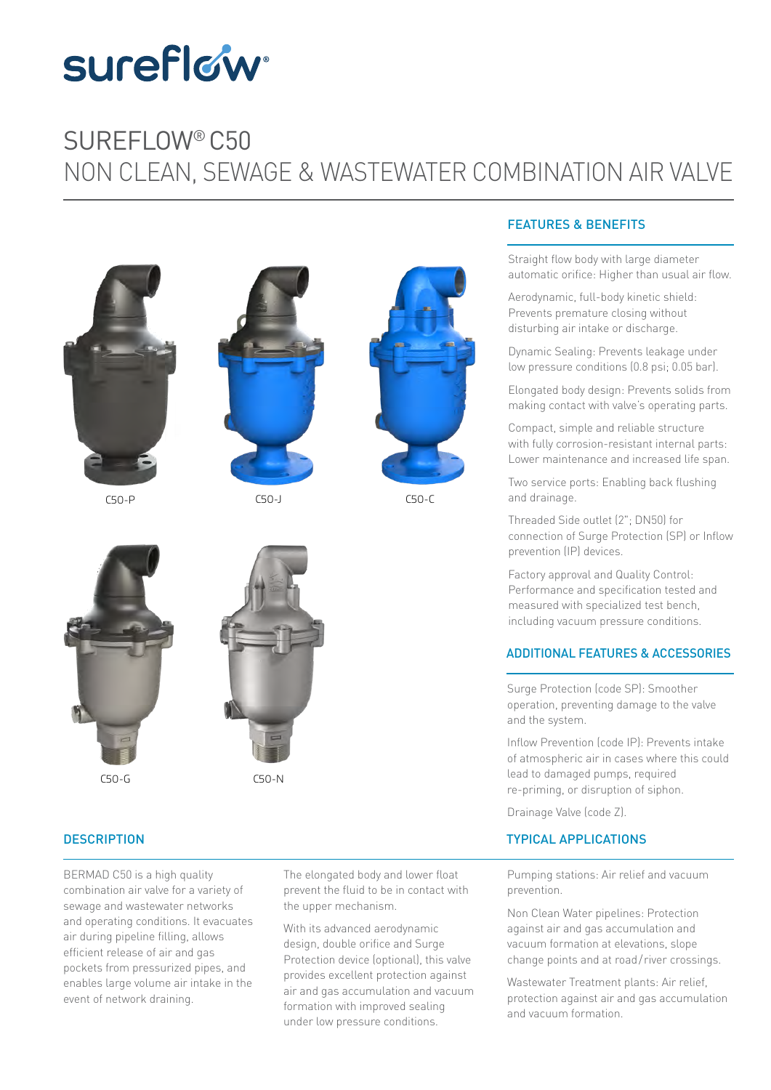# **sureflow**

### NON CLEAN, SEWAGE duction is a strategic for the system of the system of the system of the system of the system of the system of the system of the system of the system of the system of the system of the system of the system of the system of SUREFLOW® C50 NON CLEAN, SEWAGE & WASTEWATER COMBINATION AIR VALVE



C50-P C50-J C50-C





#### **DESCRIPTION**

air during pipeline filling, allows efficient release of air and gas<br>Protection o poeners from pressurized pipes, and<br>enables large volume air intake in the BERMAD C50 is a high quality combination air valve for a variety of sewage and wastewater networks and operating conditions. It evacuates pockets from pressurized pipes, and event of network draining.

The elongated body and lower float prevent the fluid to be in contact with the upper mechanism.

**Maximum Temperature** 

air and gas accumulation and vacuum are trademarks are trademarks or product names are trademarks or product names are trademarks or registered marks or registered marks of the marks of the marks of the marks of the marks event of network draining.<br>Formation with improved sealing our protection against air With its advanced aerodynamic design, double orifice and Surge Protection device (optional), this valve provides excellent protection against under low pressure conditions.

#### FEATURES & BENEFITS

Straight flow body with large diameter automatic orifice: Higher than usual air flow.

Aerodynamic, full-body kinetic shield: Prevents premature closing without dicturbing air intake er discharge disturbing air intake or discharge.

Dynamic Sealing: Prevents leakage under low pressure conditions (0.8 psi; 0.05 bar).

Elongated body design: Prevents solids from making contact with valve's operating parts.

with fully corrosion-resistant internal parts: Lower maintenance and increased life span. Compact, simple and reliable structure

Two service ports: Enabling back flushing and drainage.

Threaded Side outlet (2"; DN50) for connection of Surge Protection (SP) or Inflow prevention (IP) devices.

Performance and specification tested and  $\frac{1}{1}$ Size  $\blacksquare$ vacuum pre PN 35 including vacuum pressure conditions. Factory approval and Quality Control: measured with specialized test bench,

### ADDITIONAL FEATURES & ACCESSORIES

Surge Protection (code SP): Smoother operation, preventing damage to the valve and the system.

Inflow Prevention (code IP): Prevents intake of atmospheric air in cases where this could research sensing to pumple, required<br>re-priming, or disruption of siphon. CFITTED Superation, preventing dama<br>and the system.<br>Inflow Prevention (code IP):<br>of atmospheric air in cases<br>lead to damaged pumps, re<br>re-priming, or disruption of lead to damaged pumps, required

Drainage Valve (code Z).

#### TYPICAL APPLICATIONS

Pumping stations: Air relief and vacuum prevention.

600 825 641 850 641

Non Clean Water pipelines: Protection against air and gas accumulation and vacuum formation at elevations, slope change points and at road/ river crossings.

Wastewater Treatment plants: Air relief, protection against air and gas accumulation and vacuum formation.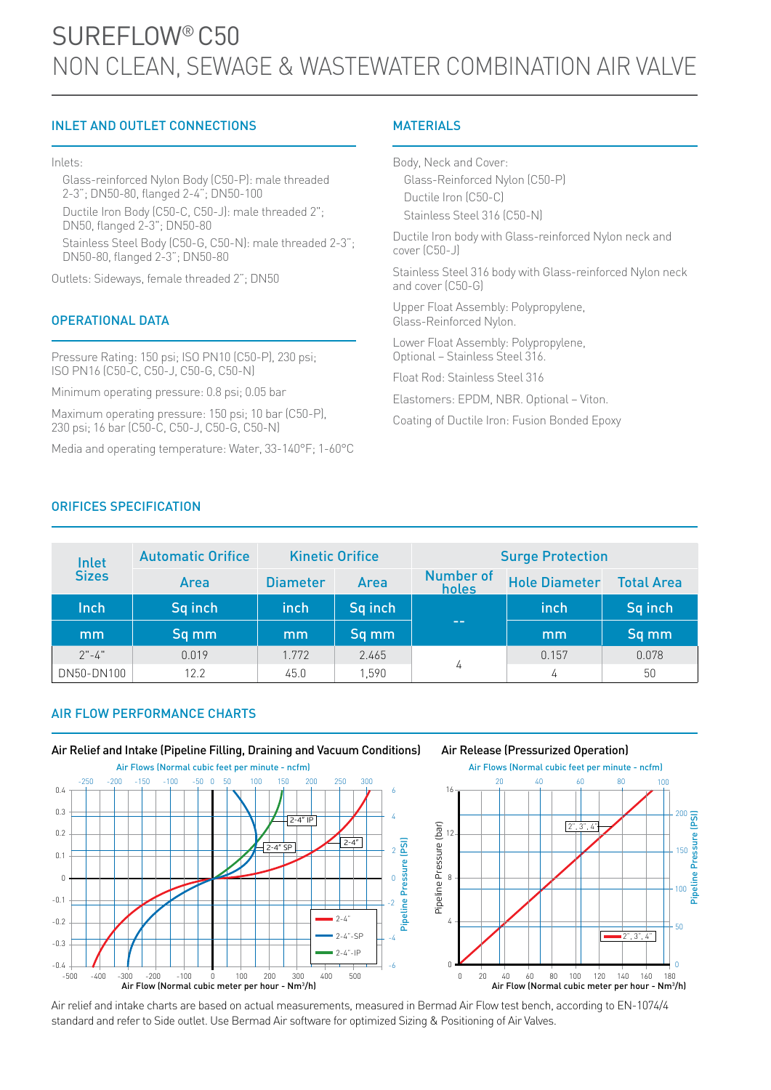# SUREFLOW® C50 NON CLEAN, SEWAGE & WASTEWATER COMBINATION AIR VALVE

#### INLET AND OUTLET CONNECTIONS

#### Inlets:

Glass-reinforced Nylon Body (C50-P): male threaded 2-3"; DN50-80, flanged 2-4"; DN50-100

Ductile Iron Body (C50-C, C50-J): male threaded 2"; DN50, flanged 2-3"; DN50-80

Stainless Steel Body (C50-G, C50-N): male threaded 2-3"; DN50-80, flanged 2-3"; DN50-80

Outlets: Sideways, female threaded 2"; DN50

#### OPERATIONAL DATA

Pressure Rating: 150 psi; ISO PN10 (C50-P), 230 psi; ISO PN16 (C50-C, C50-J, C50-G, C50-N)

Minimum operating pressure: 0.8 psi; 0.05 bar

Maximum operating pressure: 150 psi; 10 bar (C50-P), 230 psi; 16 bar (C50-C, C50-J, C50-G, C50-N)

Media and operating temperature: Water, 33-140°F; 1-60°C

#### **MATERIALS**

Body, Neck and Cover: Glass-Reinforced Nylon (C50-P) Ductile Iron (C50-C) Stainless Steel 316 (C50-N)

Ductile Iron body with Glass-reinforced Nylon neck and cover (C50-J)

Stainless Steel 316 body with Glass-reinforced Nylon neck and cover (C50-G)

50

100<br>Pipeline F

Pipeline Pressure (PSI)

Pressure (PSI)

150

200

Upper Float Assembly: Polypropylene, Glass-Reinforced Nylon.

Lower Float Assembly: Polypropylene, Optional – Stainless Steel 316.

Float Rod: Stainless Steel 316

Elastomers: EPDM, NBR. Optional – Viton.

Coating of Ductile Iron: Fusion Bonded Epoxy

#### ORIFICES SPECIFICATION

| Inlet        | <b>Automatic Orifice</b> |                 | <b>Kinetic Orifice</b> |                    | <b>Surge Protection</b> |                   |
|--------------|--------------------------|-----------------|------------------------|--------------------|-------------------------|-------------------|
| <b>Sizes</b> | Area                     | <b>Diameter</b> | Area                   | Number of<br>holes | <b>Hole Diameter</b>    | <b>Total Area</b> |
| Inch         | Sq inch                  | inch            | Sq inch                |                    | inch                    | Sq inch           |
| mm           | Sq mm                    | mm              | Sq mm                  | $- -$              | mm                      | Sq mm             |
| $2" - 4"$    | 0.019                    | 1.772           | 2.465                  |                    | 0.157                   | 0.078             |
| DN50-DN100   | 12.2                     | 45.0            | 1,590                  | 4                  | 4                       | 50                |

#### AIR FLOW PERFORMANCE CHARTS



Air relief and intake charts are based on actual measurements, measured in Bermad Air Flow test bench, according to EN-1074/4 standard and refer to Side outlet. Use Bermad Air software for optimized Sizing & Positioning of Air Valves.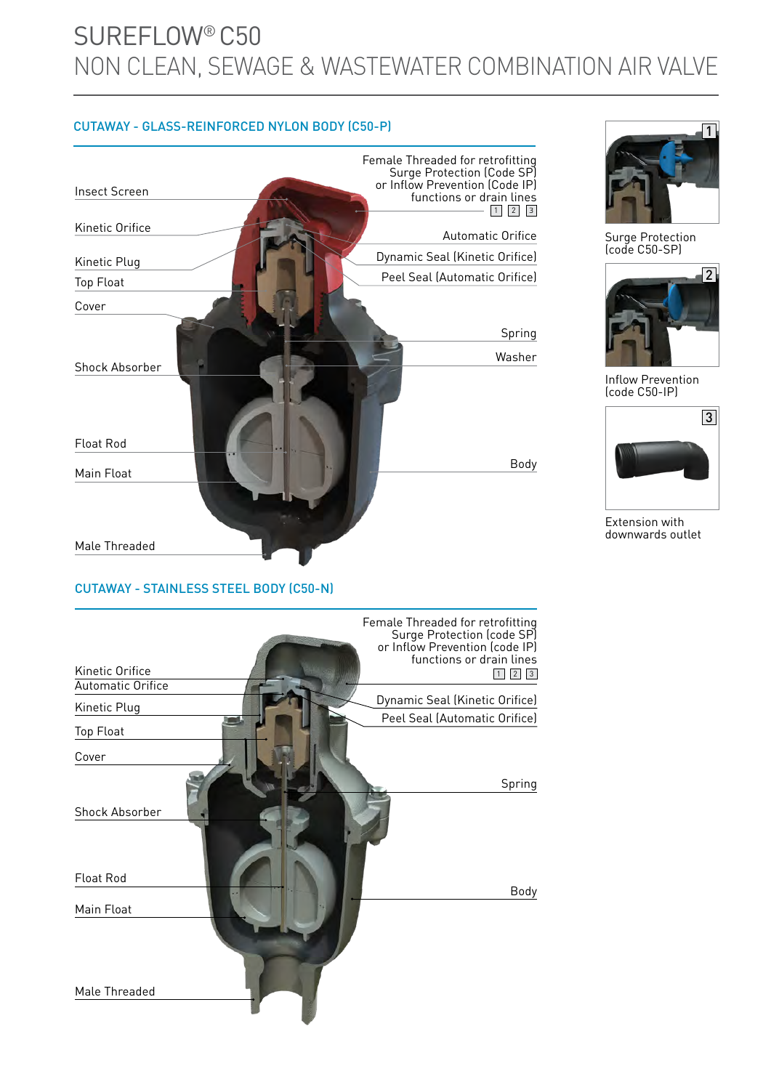# SUREFLOW® C50 NON CLEAN, SEWAGE & WASTEWATER COMBINATION AIR VALVE

#### CUTAWAY - GLASS-REINFORCED NYLON BODY (C50-P)



#### CUTAWAY - STAINLESS STEEL BODY (C50-N)





Surge Protection (code C50-SP)



Inflow Prevention (code C50-IP)



Extension with downwards outlet